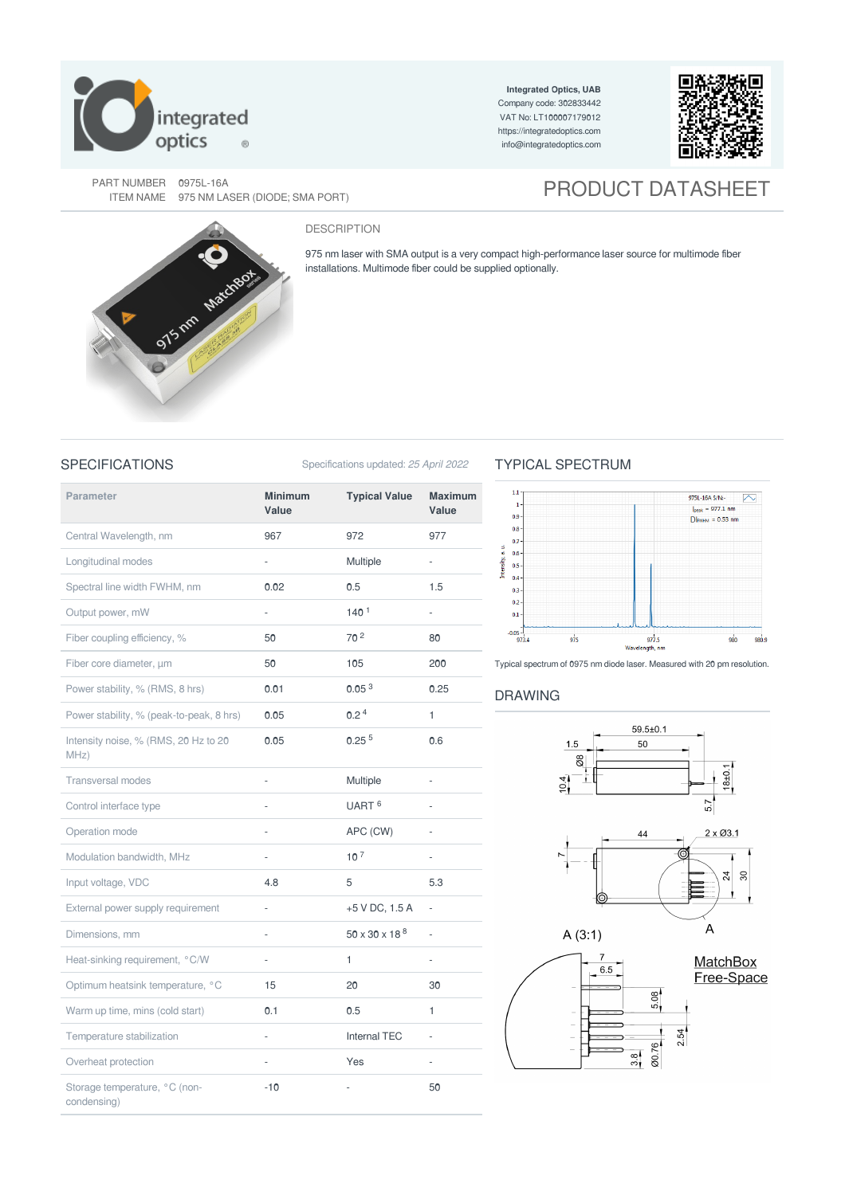

**Integrated Optics, UAB** Company code: 302833442 VAT No: LT100007179012 <https://integratedoptics.com> info@integratedoptics.com



PART NUMBER 0975L-16A<br>ITEM NAME 975 NM LASER (DIODE; SMA PORT)

# **PRODUCT DATASHEET**

## DESCRIPTION

975 nm laser with SMA output is a very compact high-performance laser source for multimode fiber installations. Multimode fiber could be supplied optionally.

SPECIFICATIONS Specifications updated: 25 April 2022

# TYPICAL SPECTRUM





Typical spectrum of 0975 nm diode laser. Measured with 20 pm resolution.

## DRAWING